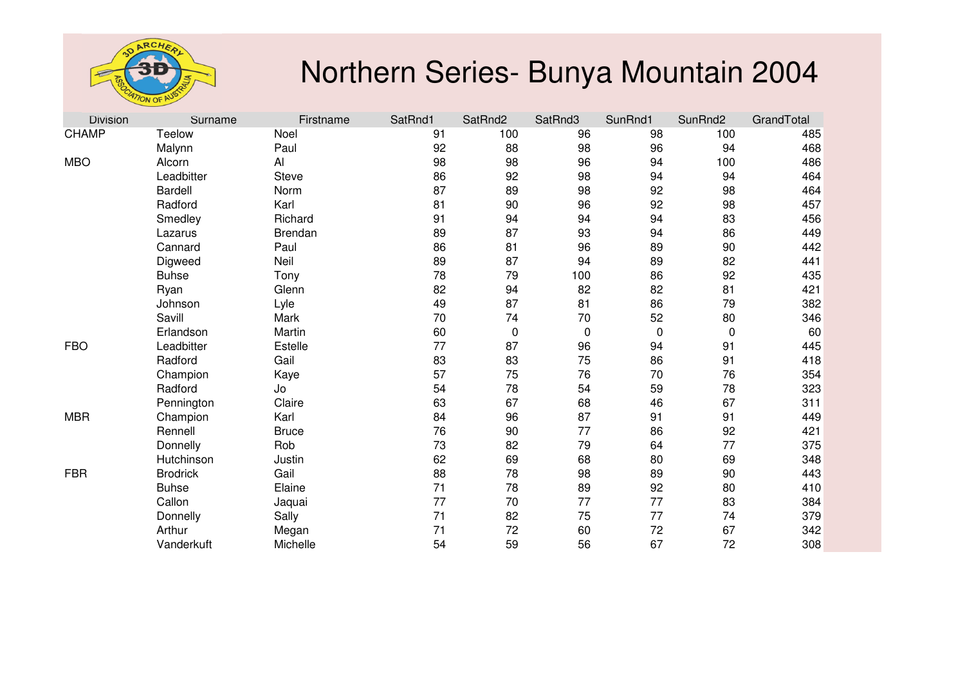

| <b>Division</b> | Surname         | Firstname      | SatRnd1 | SatRnd2     | SatRnd3     | SunRnd1 | SunRnd2     | GrandTotal |
|-----------------|-----------------|----------------|---------|-------------|-------------|---------|-------------|------------|
| <b>CHAMP</b>    | Teelow          | Noel           | 91      | 100         | 96          | 98      | 100         | 485        |
|                 | Malynn          | Paul           | 92      | 88          | 98          | 96      | 94          | 468        |
| <b>MBO</b>      | Alcorn          | Al             | 98      | 98          | 96          | 94      | 100         | 486        |
|                 | Leadbitter      | <b>Steve</b>   | 86      | 92          | 98          | 94      | 94          | 464        |
|                 | <b>Bardell</b>  | Norm           | 87      | 89          | 98          | 92      | 98          | 464        |
|                 | Radford         | Karl           | 81      | 90          | 96          | 92      | 98          | 457        |
|                 | Smedley         | Richard        | 91      | 94          | 94          | 94      | 83          | 456        |
|                 | Lazarus         | <b>Brendan</b> | 89      | 87          | 93          | 94      | 86          | 449        |
|                 | Cannard         | Paul           | 86      | 81          | 96          | 89      | 90          | 442        |
|                 | Digweed         | Neil           | 89      | 87          | 94          | 89      | 82          | 441        |
|                 | <b>Buhse</b>    | Tony           | 78      | 79          | 100         | 86      | 92          | 435        |
|                 | Ryan            | Glenn          | 82      | 94          | 82          | 82      | 81          | 421        |
|                 | Johnson         | Lyle           | 49      | 87          | 81          | 86      | 79          | 382        |
|                 | Savill          | Mark           | 70      | 74          | 70          | 52      | 80          | 346        |
|                 | Erlandson       | Martin         | 60      | $\mathbf 0$ | $\mathbf 0$ | 0       | $\mathbf 0$ | 60         |
| <b>FBO</b>      | Leadbitter      | Estelle        | 77      | 87          | 96          | 94      | 91          | 445        |
|                 | Radford         | Gail           | 83      | 83          | 75          | 86      | 91          | 418        |
|                 | Champion        | Kaye           | 57      | 75          | 76          | 70      | 76          | 354        |
|                 | Radford         | Jo             | 54      | 78          | 54          | 59      | 78          | 323        |
|                 | Pennington      | Claire         | 63      | 67          | 68          | 46      | 67          | 311        |
| <b>MBR</b>      | Champion        | Karl           | 84      | 96          | 87          | 91      | 91          | 449        |
|                 | Rennell         | <b>Bruce</b>   | 76      | 90          | 77          | 86      | 92          | 421        |
|                 | Donnelly        | Rob            | 73      | 82          | 79          | 64      | 77          | 375        |
|                 | Hutchinson      | Justin         | 62      | 69          | 68          | 80      | 69          | 348        |
| <b>FBR</b>      | <b>Brodrick</b> | Gail           | 88      | 78          | 98          | 89      | 90          | 443        |
|                 | <b>Buhse</b>    | Elaine         | 71      | 78          | 89          | 92      | 80          | 410        |
|                 | Callon          | Jaquai         | 77      | 70          | 77          | 77      | 83          | 384        |
|                 | Donnelly        | Sally          | 71      | 82          | 75          | 77      | 74          | 379        |
|                 | Arthur          | Megan          | 71      | 72          | 60          | 72      | 67          | 342        |
|                 | Vanderkuft      | Michelle       | 54      | 59          | 56          | 67      | 72          | 308        |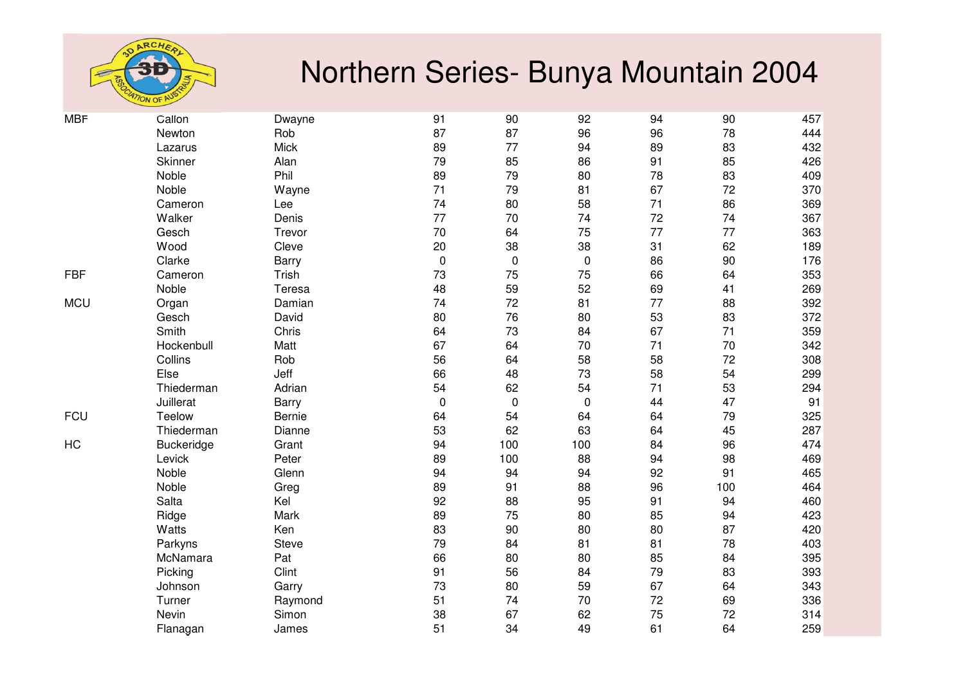

| <b>MBF</b> | Callon     | Dwayne       | 91          | 90          | 92        | 94 | 90  | 457 |
|------------|------------|--------------|-------------|-------------|-----------|----|-----|-----|
|            | Newton     | Rob          | 87          | 87          | 96        | 96 | 78  | 444 |
|            | Lazarus    | <b>Mick</b>  | 89          | 77          | 94        | 89 | 83  | 432 |
|            | Skinner    | Alan         | 79          | 85          | 86        | 91 | 85  | 426 |
|            | Noble      | Phil         | 89          | 79          | 80        | 78 | 83  | 409 |
|            | Noble      | Wayne        | 71          | 79          | 81        | 67 | 72  | 370 |
|            | Cameron    | Lee          | 74          | 80          | 58        | 71 | 86  | 369 |
|            | Walker     | Denis        | 77          | 70          | 74        | 72 | 74  | 367 |
|            | Gesch      | Trevor       | 70          | 64          | 75        | 77 | 77  | 363 |
|            | Wood       | Cleve        | 20          | 38          | 38        | 31 | 62  | 189 |
|            | Clarke     | Barry        | $\mathbf 0$ | $\mathbf 0$ | $\pmb{0}$ | 86 | 90  | 176 |
| <b>FBF</b> | Cameron    | Trish        | 73          | 75          | 75        | 66 | 64  | 353 |
|            | Noble      | Teresa       | 48          | 59          | 52        | 69 | 41  | 269 |
| <b>MCU</b> | Organ      | Damian       | 74          | 72          | 81        | 77 | 88  | 392 |
|            | Gesch      | David        | 80          | 76          | 80        | 53 | 83  | 372 |
|            | Smith      | Chris        | 64          | 73          | 84        | 67 | 71  | 359 |
|            | Hockenbull | Matt         | 67          | 64          | $70\,$    | 71 | 70  | 342 |
|            | Collins    | Rob          | 56          | 64          | 58        | 58 | 72  | 308 |
|            | Else       | Jeff         | 66          | 48          | 73        | 58 | 54  | 299 |
|            | Thiederman | Adrian       | 54          | 62          | 54        | 71 | 53  | 294 |
|            | Juillerat  | <b>Barry</b> | $\mathbf 0$ | $\mathbf 0$ | 0         | 44 | 47  | 91  |
| <b>FCU</b> | Teelow     | Bernie       | 64          | 54          | 64        | 64 | 79  | 325 |
|            | Thiederman | Dianne       | 53          | 62          | 63        | 64 | 45  | 287 |
| HC         | Buckeridge | Grant        | 94          | 100         | 100       | 84 | 96  | 474 |
|            | Levick     | Peter        | 89          | 100         | 88        | 94 | 98  | 469 |
|            | Noble      | Glenn        | 94          | 94          | 94        | 92 | 91  | 465 |
|            | Noble      | Greg         | 89          | 91          | 88        | 96 | 100 | 464 |
|            | Salta      | Kel          | 92          | 88          | 95        | 91 | 94  | 460 |
|            | Ridge      | Mark         | 89          | 75          | 80        | 85 | 94  | 423 |
|            | Watts      | Ken          | 83          | 90          | 80        | 80 | 87  | 420 |
|            | Parkyns    | Steve        | 79          | 84          | 81        | 81 | 78  | 403 |
|            | McNamara   | Pat          | 66          | 80          | 80        | 85 | 84  | 395 |
|            | Picking    | Clint        | 91          | 56          | 84        | 79 | 83  | 393 |
|            | Johnson    | Garry        | 73          | 80          | 59        | 67 | 64  | 343 |
|            | Turner     | Raymond      | 51          | 74          | 70        | 72 | 69  | 336 |
|            | Nevin      | Simon        | 38          | 67          | 62        | 75 | 72  | 314 |
|            | Flanagan   | James        | 51          | 34          | 49        | 61 | 64  | 259 |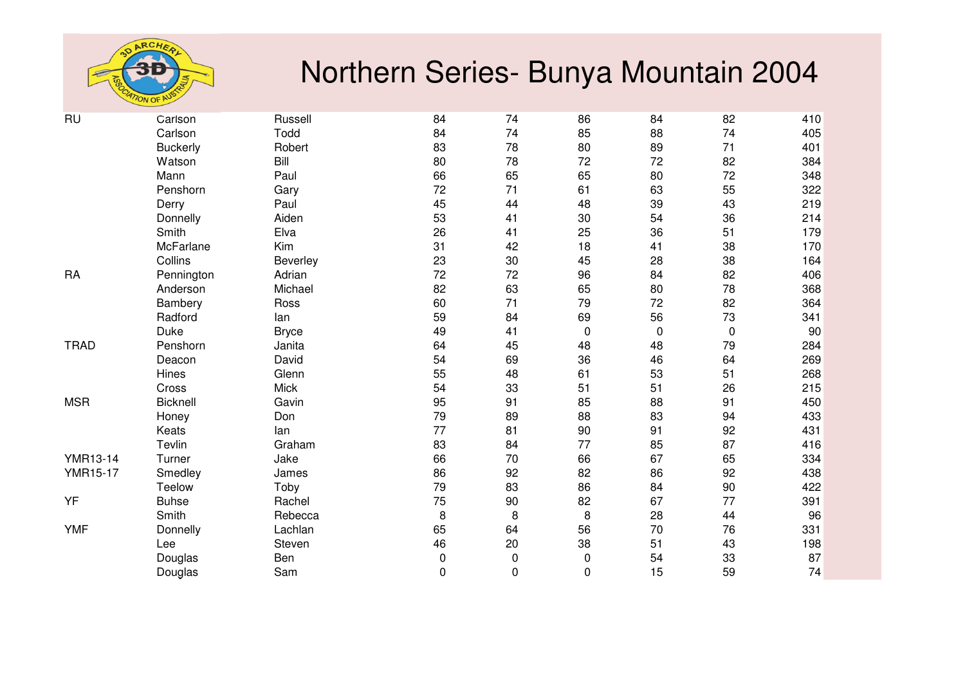

| <b>RU</b>       | Carlson         | Russell      | 84          | 74          | 86          | 84          | 82        | 410 |
|-----------------|-----------------|--------------|-------------|-------------|-------------|-------------|-----------|-----|
|                 | Carlson         | Todd         | 84          | 74          | 85          | 88          | 74        | 405 |
|                 | <b>Buckerly</b> | Robert       | 83          | 78          | 80          | 89          | 71        | 401 |
|                 | Watson          | Bill         | 80          | 78          | 72          | 72          | 82        | 384 |
|                 | Mann            | Paul         | 66          | 65          | 65          | 80          | 72        | 348 |
|                 | Penshorn        | Gary         | 72          | 71          | 61          | 63          | 55        | 322 |
|                 | Derry           | Paul         | 45          | 44          | 48          | 39          | 43        | 219 |
|                 | Donnelly        | Aiden        | 53          | 41          | 30          | 54          | 36        | 214 |
|                 | Smith           | Elva         | 26          | 41          | 25          | 36          | 51        | 179 |
|                 | McFarlane       | Kim          | 31          | 42          | 18          | 41          | 38        | 170 |
|                 | Collins         | Beverley     | 23          | 30          | 45          | 28          | 38        | 164 |
| <b>RA</b>       | Pennington      | Adrian       | 72          | 72          | 96          | 84          | 82        | 406 |
|                 | Anderson        | Michael      | 82          | 63          | 65          | 80          | 78        | 368 |
|                 | Bambery         | Ross         | 60          | 71          | 79          | 72          | 82        | 364 |
|                 | Radford         | lan          | 59          | 84          | 69          | 56          | 73        | 341 |
|                 | Duke            | <b>Bryce</b> | 49          | 41          | $\pmb{0}$   | $\mathbf 0$ | $\pmb{0}$ | 90  |
| <b>TRAD</b>     | Penshorn        | Janita       | 64          | 45          | 48          | 48          | 79        | 284 |
|                 | Deacon          | David        | 54          | 69          | 36          | 46          | 64        | 269 |
|                 | Hines           | Glenn        | 55          | 48          | 61          | 53          | 51        | 268 |
|                 | Cross           | <b>Mick</b>  | 54          | 33          | 51          | 51          | 26        | 215 |
| <b>MSR</b>      | Bicknell        | Gavin        | 95          | 91          | 85          | 88          | 91        | 450 |
|                 | Honey           | Don          | 79          | 89          | 88          | 83          | 94        | 433 |
|                 | Keats           | lan          | 77          | 81          | 90          | 91          | 92        | 431 |
|                 | Tevlin          | Graham       | 83          | 84          | 77          | 85          | 87        | 416 |
| <b>YMR13-14</b> | Turner          | Jake         | 66          | 70          | 66          | 67          | 65        | 334 |
| <b>YMR15-17</b> | Smedley         | James        | 86          | 92          | 82          | 86          | 92        | 438 |
|                 | Teelow          | Toby         | 79          | 83          | 86          | 84          | 90        | 422 |
| YF              | <b>Buhse</b>    | Rachel       | 75          | 90          | 82          | 67          | 77        | 391 |
|                 | Smith           | Rebecca      | 8           | 8           | 8           | 28          | 44        | 96  |
| <b>YMF</b>      | Donnelly        | Lachlan      | 65          | 64          | 56          | 70          | 76        | 331 |
|                 | Lee             | Steven       | 46          | 20          | 38          | 51          | 43        | 198 |
|                 | Douglas         | Ben          | $\pmb{0}$   | $\pmb{0}$   | $\pmb{0}$   | 54          | 33        | 87  |
|                 | Douglas         | Sam          | $\mathbf 0$ | $\mathbf 0$ | $\mathbf 0$ | 15          | 59        | 74  |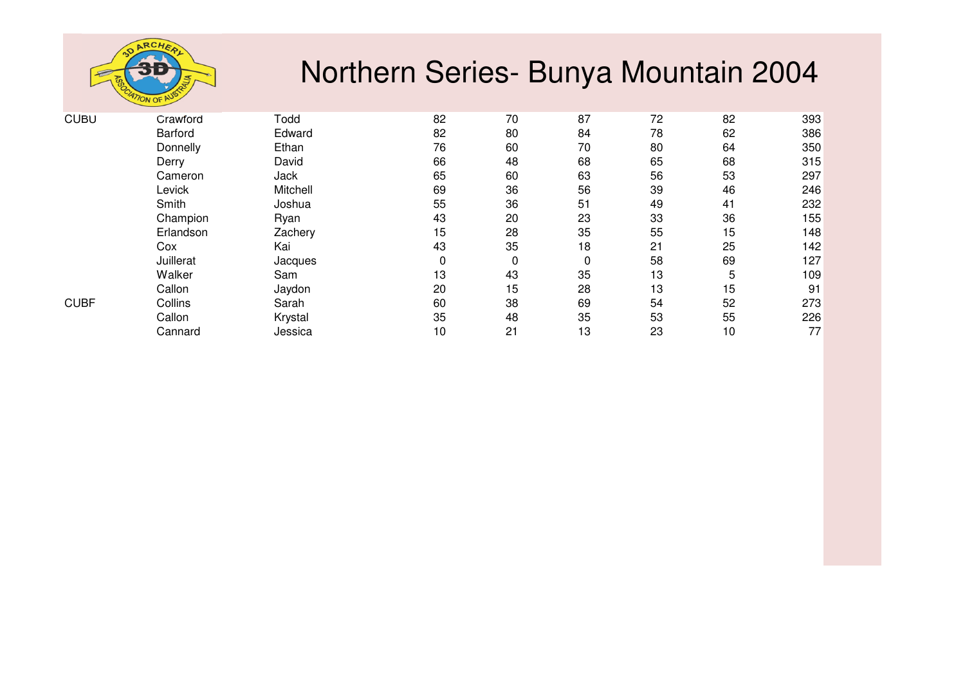

| <b>CUBU</b> | Crawford  | Todd     | 82 | 70 | 87 | 72 | 82 | 393 |
|-------------|-----------|----------|----|----|----|----|----|-----|
|             | Barford   | Edward   | 82 | 80 | 84 | 78 | 62 | 386 |
|             | Donnelly  | Ethan    | 76 | 60 | 70 | 80 | 64 | 350 |
|             | Derry     | David    | 66 | 48 | 68 | 65 | 68 | 315 |
|             | Cameron   | Jack     | 65 | 60 | 63 | 56 | 53 | 297 |
|             | Levick    | Mitchell | 69 | 36 | 56 | 39 | 46 | 246 |
|             | Smith     | Joshua   | 55 | 36 | 51 | 49 | 41 | 232 |
|             | Champion  | Ryan     | 43 | 20 | 23 | 33 | 36 | 155 |
|             | Erlandson | Zachery  | 15 | 28 | 35 | 55 | 15 | 148 |
|             | Cox       | Kai      | 43 | 35 | 18 | 21 | 25 | 142 |
|             | Juillerat | Jacques  | 0  | 0  | 0  | 58 | 69 | 127 |
|             | Walker    | Sam      | 13 | 43 | 35 | 13 | 5  | 109 |
|             | Callon    | Jaydon   | 20 | 15 | 28 | 13 | 15 | 91  |
| <b>CUBF</b> | Collins   | Sarah    | 60 | 38 | 69 | 54 | 52 | 273 |
|             | Callon    | Krystal  | 35 | 48 | 35 | 53 | 55 | 226 |
|             | Cannard   | Jessica  | 10 | 21 | 13 | 23 | 10 | 77  |
|             |           |          |    |    |    |    |    |     |